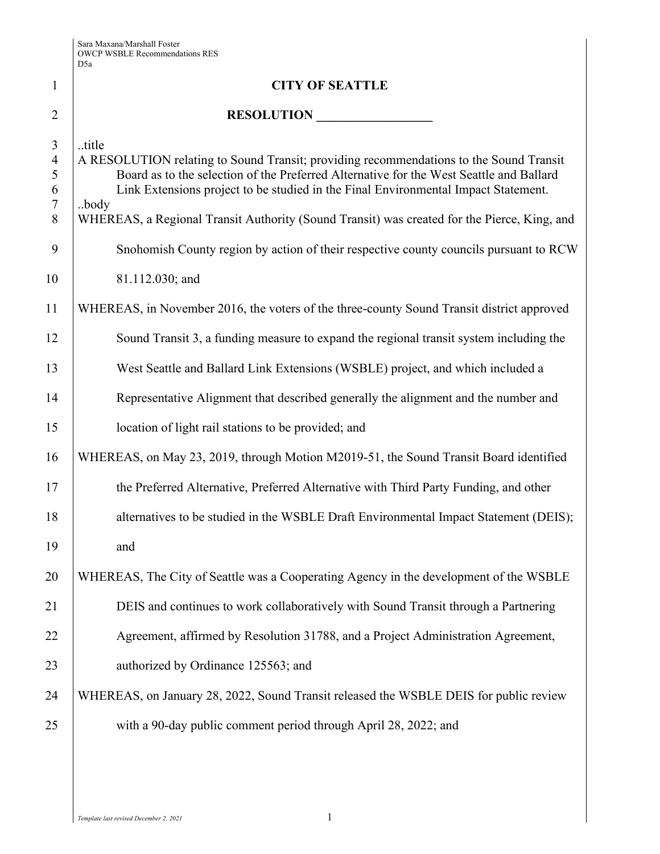|                                                                     | D5a                                                                                                                                                                                                                                                                                                                                                                                     |
|---------------------------------------------------------------------|-----------------------------------------------------------------------------------------------------------------------------------------------------------------------------------------------------------------------------------------------------------------------------------------------------------------------------------------------------------------------------------------|
| $\mathbf{1}$                                                        | <b>CITY OF SEATTLE</b>                                                                                                                                                                                                                                                                                                                                                                  |
| $\overline{2}$                                                      | RESOLUTION                                                                                                                                                                                                                                                                                                                                                                              |
| $\mathfrak{Z}$<br>$\overline{4}$<br>5<br>6<br>$\boldsymbol{7}$<br>8 | title<br>A RESOLUTION relating to Sound Transit; providing recommendations to the Sound Transit<br>Board as to the selection of the Preferred Alternative for the West Seattle and Ballard<br>Link Extensions project to be studied in the Final Environmental Impact Statement.<br>body<br>WHEREAS, a Regional Transit Authority (Sound Transit) was created for the Pierce, King, and |
| 9                                                                   | Snohomish County region by action of their respective county councils pursuant to RCW                                                                                                                                                                                                                                                                                                   |
| 10                                                                  | 81.112.030; and                                                                                                                                                                                                                                                                                                                                                                         |
| 11                                                                  | WHEREAS, in November 2016, the voters of the three-county Sound Transit district approved                                                                                                                                                                                                                                                                                               |
| 12                                                                  | Sound Transit 3, a funding measure to expand the regional transit system including the                                                                                                                                                                                                                                                                                                  |
| 13                                                                  | West Seattle and Ballard Link Extensions (WSBLE) project, and which included a                                                                                                                                                                                                                                                                                                          |
| 14                                                                  | Representative Alignment that described generally the alignment and the number and                                                                                                                                                                                                                                                                                                      |
| 15                                                                  | location of light rail stations to be provided; and                                                                                                                                                                                                                                                                                                                                     |
| 16                                                                  | WHEREAS, on May 23, 2019, through Motion M2019-51, the Sound Transit Board identified                                                                                                                                                                                                                                                                                                   |
| 17                                                                  | the Preferred Alternative, Preferred Alternative with Third Party Funding, and other                                                                                                                                                                                                                                                                                                    |
| 18                                                                  | alternatives to be studied in the WSBLE Draft Environmental Impact Statement (DEIS);                                                                                                                                                                                                                                                                                                    |
| 19                                                                  | and                                                                                                                                                                                                                                                                                                                                                                                     |
| 20                                                                  | WHEREAS, The City of Seattle was a Cooperating Agency in the development of the WSBLE                                                                                                                                                                                                                                                                                                   |
| 21                                                                  | DEIS and continues to work collaboratively with Sound Transit through a Partnering                                                                                                                                                                                                                                                                                                      |
| 22                                                                  | Agreement, affirmed by Resolution 31788, and a Project Administration Agreement,                                                                                                                                                                                                                                                                                                        |
| 23                                                                  | authorized by Ordinance 125563; and                                                                                                                                                                                                                                                                                                                                                     |
| 24                                                                  | WHEREAS, on January 28, 2022, Sound Transit released the WSBLE DEIS for public review                                                                                                                                                                                                                                                                                                   |
| 25                                                                  | with a 90-day public comment period through April 28, 2022; and                                                                                                                                                                                                                                                                                                                         |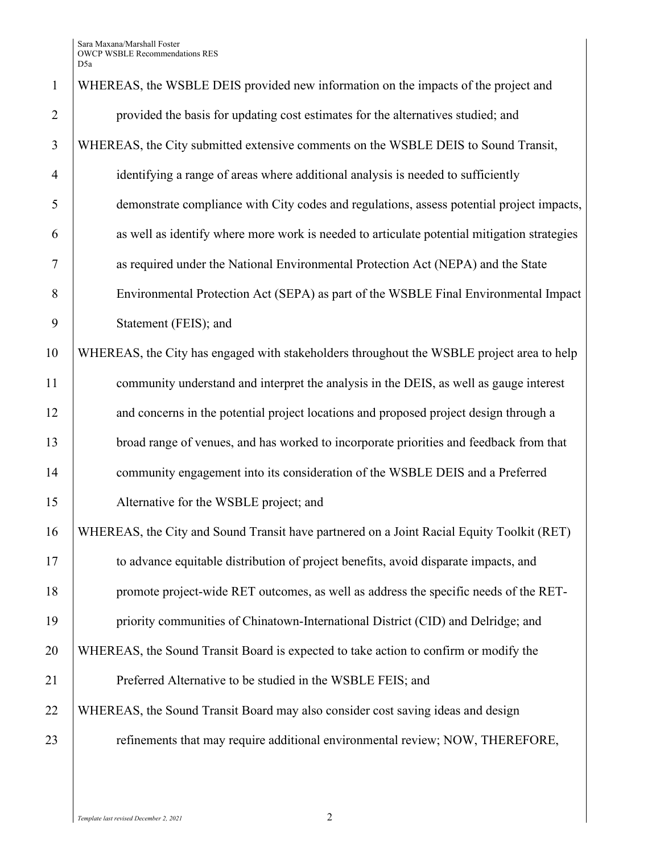| $\mathbf{1}$   | WHEREAS, the WSBLE DEIS provided new information on the impacts of the project and          |
|----------------|---------------------------------------------------------------------------------------------|
| $\overline{2}$ | provided the basis for updating cost estimates for the alternatives studied; and            |
| 3              | WHEREAS, the City submitted extensive comments on the WSBLE DEIS to Sound Transit,          |
| $\overline{4}$ | identifying a range of areas where additional analysis is needed to sufficiently            |
| 5              | demonstrate compliance with City codes and regulations, assess potential project impacts,   |
| 6              | as well as identify where more work is needed to articulate potential mitigation strategies |
| 7              | as required under the National Environmental Protection Act (NEPA) and the State            |
| 8              | Environmental Protection Act (SEPA) as part of the WSBLE Final Environmental Impact         |
| 9              | Statement (FEIS); and                                                                       |
| 10             | WHEREAS, the City has engaged with stakeholders throughout the WSBLE project area to help   |
| 11             | community understand and interpret the analysis in the DEIS, as well as gauge interest      |
| 12             | and concerns in the potential project locations and proposed project design through a       |
| 13             | broad range of venues, and has worked to incorporate priorities and feedback from that      |
| 14             | community engagement into its consideration of the WSBLE DEIS and a Preferred               |
| 15             | Alternative for the WSBLE project; and                                                      |
| 16             | WHEREAS, the City and Sound Transit have partnered on a Joint Racial Equity Toolkit (RET)   |
| 17             | to advance equitable distribution of project benefits, avoid disparate impacts, and         |
| 18             | promote project-wide RET outcomes, as well as address the specific needs of the RET-        |
| 19             | priority communities of Chinatown-International District (CID) and Delridge; and            |
| 20             | WHEREAS, the Sound Transit Board is expected to take action to confirm or modify the        |
| 21             | Preferred Alternative to be studied in the WSBLE FEIS; and                                  |
| 22             | WHEREAS, the Sound Transit Board may also consider cost saving ideas and design             |
| 23             | refinements that may require additional environmental review; NOW, THEREFORE,               |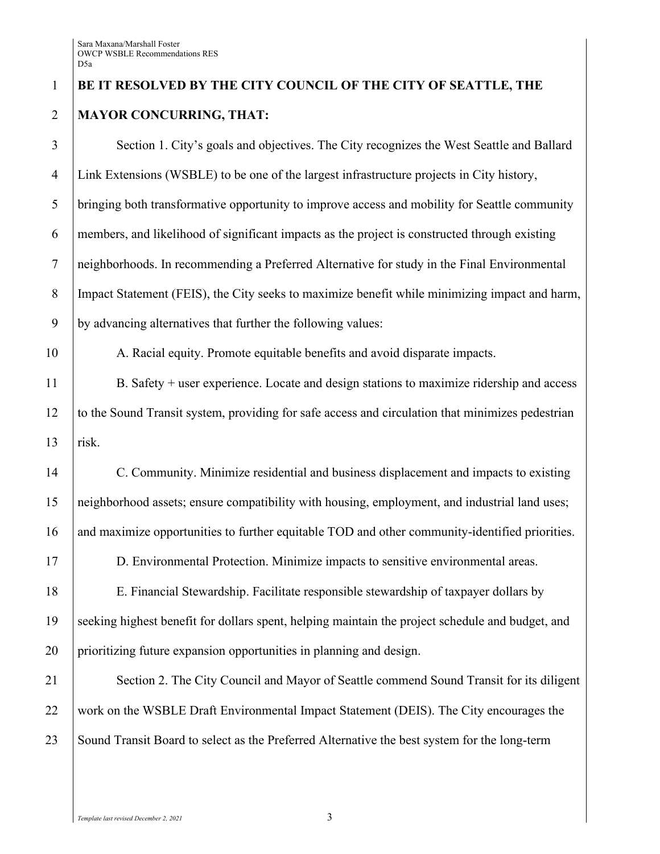## **BE IT RESOLVED BY THE CITY COUNCIL OF THE CITY OF SEATTLE, THE MAYOR CONCURRING, THAT:**

 Section 1. City's goals and objectives. The City recognizes the West Seattle and Ballard Link Extensions (WSBLE) to be one of the largest infrastructure projects in City history, bringing both transformative opportunity to improve access and mobility for Seattle community members, and likelihood of significant impacts as the project is constructed through existing neighborhoods. In recommending a Preferred Alternative for study in the Final Environmental Impact Statement (FEIS), the City seeks to maximize benefit while minimizing impact and harm, by advancing alternatives that further the following values:

10 A. Racial equity. Promote equitable benefits and avoid disparate impacts.

 B. Safety + user experience. Locate and design stations to maximize ridership and access to the Sound Transit system, providing for safe access and circulation that minimizes pedestrian risk.

 C. Community. Minimize residential and business displacement and impacts to existing neighborhood assets; ensure compatibility with housing, employment, and industrial land uses; 16 and maximize opportunities to further equitable TOD and other community-identified priorities.

D. Environmental Protection. Minimize impacts to sensitive environmental areas.

 E. Financial Stewardship. Facilitate responsible stewardship of taxpayer dollars by seeking highest benefit for dollars spent, helping maintain the project schedule and budget, and prioritizing future expansion opportunities in planning and design.

21 Section 2. The City Council and Mayor of Seattle commend Sound Transit for its diligent 22 work on the WSBLE Draft Environmental Impact Statement (DEIS). The City encourages the 23 Sound Transit Board to select as the Preferred Alternative the best system for the long-term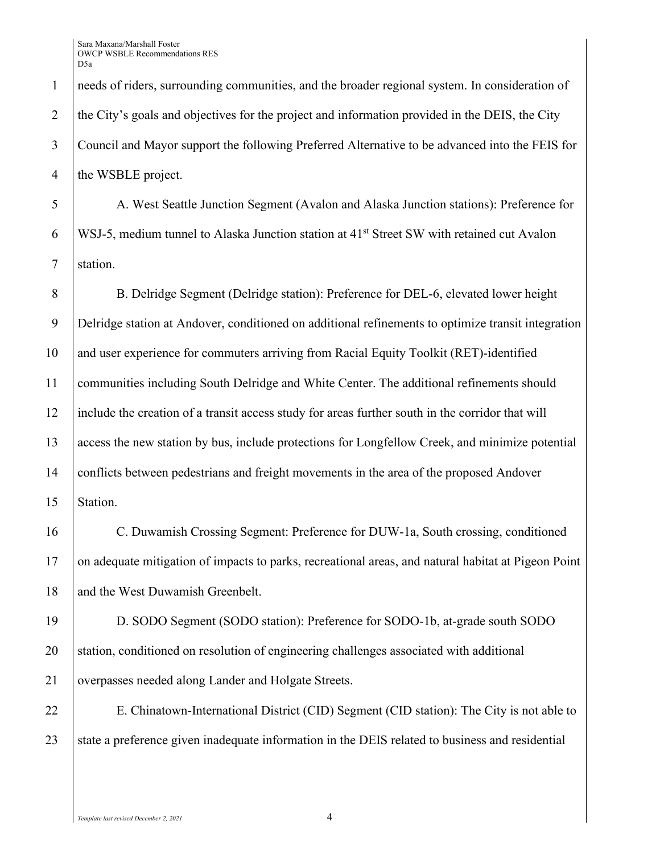1 needs of riders, surrounding communities, and the broader regional system. In consideration of 2 the City's goals and objectives for the project and information provided in the DEIS, the City 3 Council and Mayor support the following Preferred Alternative to be advanced into the FEIS for 4 the WSBLE project.

5 A. West Seattle Junction Segment (Avalon and Alaska Junction stations): Preference for 6 | WSJ-5, medium tunnel to Alaska Junction station at  $41<sup>st</sup>$  Street SW with retained cut Avalon 7 station.

8 B. Delridge Segment (Delridge station): Preference for DEL-6, elevated lower height Delridge station at Andover, conditioned on additional refinements to optimize transit integration and user experience for commuters arriving from Racial Equity Toolkit (RET)-identified communities including South Delridge and White Center. The additional refinements should include the creation of a transit access study for areas further south in the corridor that will access the new station by bus, include protections for Longfellow Creek, and minimize potential conflicts between pedestrians and freight movements in the area of the proposed Andover 15 Station.

16 C. Duwamish Crossing Segment: Preference for DUW-1a, South crossing, conditioned 17 on adequate mitigation of impacts to parks, recreational areas, and natural habitat at Pigeon Point 18 and the West Duwamish Greenbelt.

19 D. SODO Segment (SODO station): Preference for SODO-1b, at-grade south SODO 20 station, conditioned on resolution of engineering challenges associated with additional 21 overpasses needed along Lander and Holgate Streets.

22 E. Chinatown-International District (CID) Segment (CID station): The City is not able to 23 State a preference given inadequate information in the DEIS related to business and residential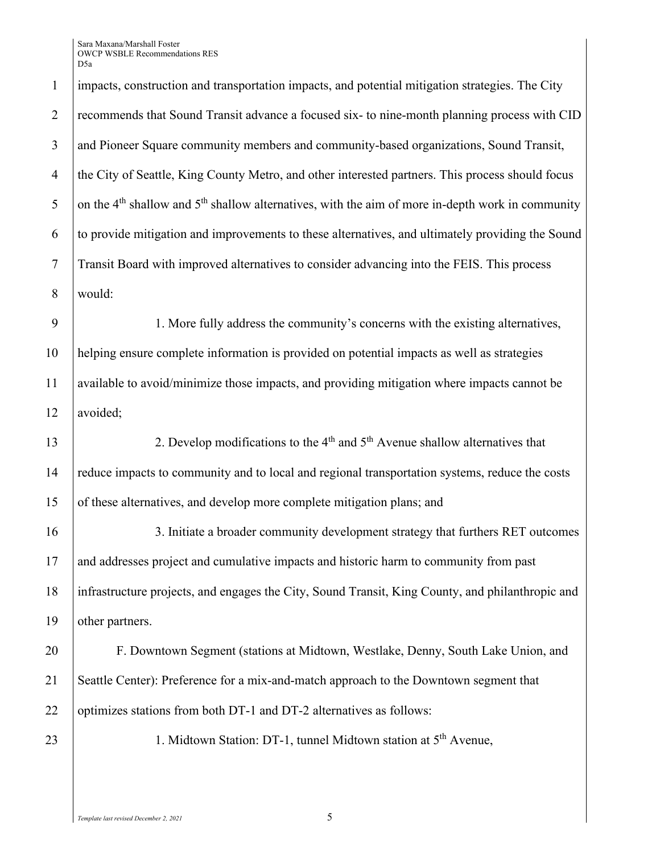impacts, construction and transportation impacts, and potential mitigation strategies. The City 2 recommends that Sound Transit advance a focused six- to nine-month planning process with CID and Pioneer Square community members and community-based organizations, Sound Transit, the City of Seattle, King County Metro, and other interested partners. This process should focus 5 on the 4<sup>th</sup> shallow and  $5<sup>th</sup>$  shallow alternatives, with the aim of more in-depth work in community to provide mitigation and improvements to these alternatives, and ultimately providing the Sound Transit Board with improved alternatives to consider advancing into the FEIS. This process 8 would:

 1. More fully address the community's concerns with the existing alternatives, helping ensure complete information is provided on potential impacts as well as strategies available to avoid/minimize those impacts, and providing mitigation where impacts cannot be 12 | avoided;

2. Develop modifications to the  $4<sup>th</sup>$  and  $5<sup>th</sup>$  Avenue shallow alternatives that 14 reduce impacts to community and to local and regional transportation systems, reduce the costs 15 of these alternatives, and develop more complete mitigation plans; and

 3. Initiate a broader community development strategy that furthers RET outcomes and addresses project and cumulative impacts and historic harm to community from past infrastructure projects, and engages the City, Sound Transit, King County, and philanthropic and 19 other partners.

20 F. Downtown Segment (stations at Midtown, Westlake, Denny, South Lake Union, and 21 Seattle Center): Preference for a mix-and-match approach to the Downtown segment that 22 optimizes stations from both DT-1 and DT-2 alternatives as follows:

23 | 1. Midtown Station: DT-1, tunnel Midtown station at  $5<sup>th</sup>$  Avenue,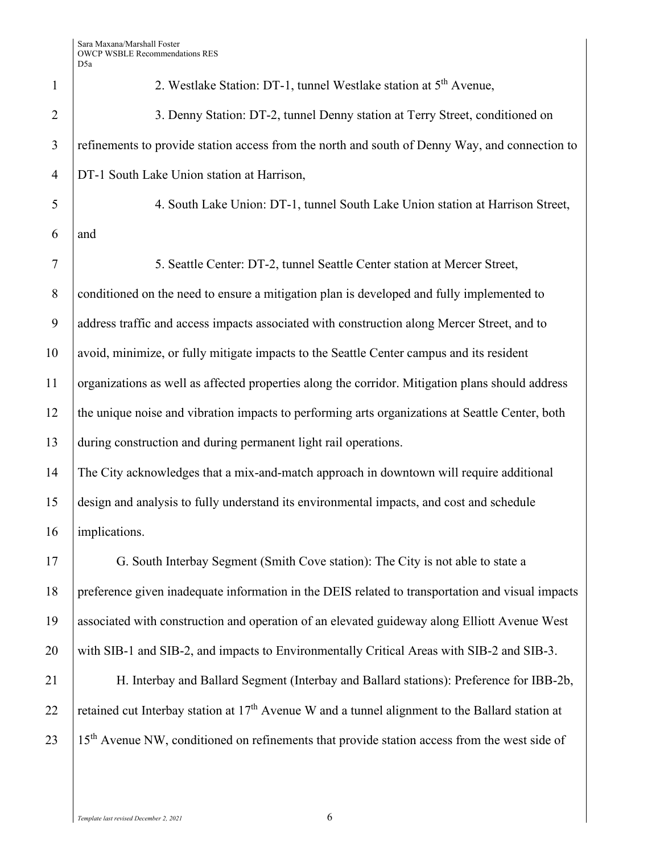| $\mathbf{1}$   | 2. Westlake Station: DT-1, tunnel Westlake station at 5 <sup>th</sup> Avenue,                               |
|----------------|-------------------------------------------------------------------------------------------------------------|
| $\overline{2}$ | 3. Denny Station: DT-2, tunnel Denny station at Terry Street, conditioned on                                |
| 3              | refinements to provide station access from the north and south of Denny Way, and connection to              |
| $\overline{4}$ | DT-1 South Lake Union station at Harrison,                                                                  |
| 5              | 4. South Lake Union: DT-1, tunnel South Lake Union station at Harrison Street,                              |
| 6              | and                                                                                                         |
| 7              | 5. Seattle Center: DT-2, tunnel Seattle Center station at Mercer Street,                                    |
| $8\,$          | conditioned on the need to ensure a mitigation plan is developed and fully implemented to                   |
| 9              | address traffic and access impacts associated with construction along Mercer Street, and to                 |
| 10             | avoid, minimize, or fully mitigate impacts to the Seattle Center campus and its resident                    |
| 11             | organizations as well as affected properties along the corridor. Mitigation plans should address            |
| 12             | the unique noise and vibration impacts to performing arts organizations at Seattle Center, both             |
| 13             | during construction and during permanent light rail operations.                                             |
| 14             | The City acknowledges that a mix-and-match approach in downtown will require additional                     |
| 15             | design and analysis to fully understand its environmental impacts, and cost and schedule                    |
| 16             | implications.                                                                                               |
| 17             | G. South Interbay Segment (Smith Cove station): The City is not able to state a                             |
| 18             | preference given inadequate information in the DEIS related to transportation and visual impacts            |
| 19             | associated with construction and operation of an elevated guideway along Elliott Avenue West                |
| 20             | with SIB-1 and SIB-2, and impacts to Environmentally Critical Areas with SIB-2 and SIB-3.                   |
| 21             | H. Interbay and Ballard Segment (Interbay and Ballard stations): Preference for IBB-2b,                     |
| 22             | retained cut Interbay station at 17 <sup>th</sup> Avenue W and a tunnel alignment to the Ballard station at |
| 23             | 15 <sup>th</sup> Avenue NW, conditioned on refinements that provide station access from the west side of    |
|                |                                                                                                             |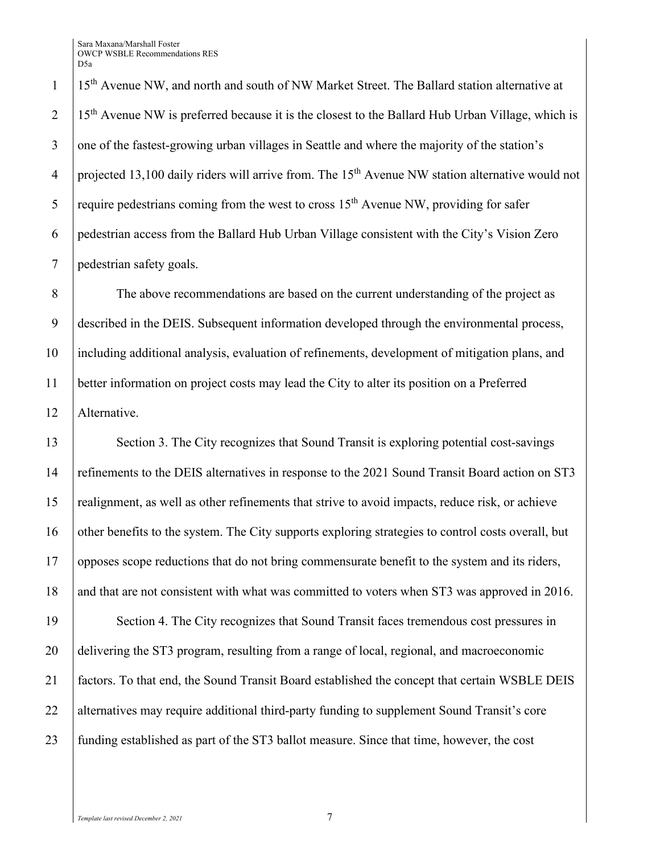1 | 15<sup>th</sup> Avenue NW, and north and south of NW Market Street. The Ballard station alternative at  $115<sup>th</sup>$  Avenue NW is preferred because it is the closest to the Ballard Hub Urban Village, which is 3 one of the fastest-growing urban villages in Seattle and where the majority of the station's 4 | projected 13,100 daily riders will arrive from. The  $15<sup>th</sup>$  Avenue NW station alternative would not 5 | require pedestrians coming from the west to cross  $15<sup>th</sup>$  Avenue NW, providing for safer 6 pedestrian access from the Ballard Hub Urban Village consistent with the City's Vision Zero 7 pedestrian safety goals.

 The above recommendations are based on the current understanding of the project as described in the DEIS. Subsequent information developed through the environmental process, including additional analysis, evaluation of refinements, development of mitigation plans, and better information on project costs may lead the City to alter its position on a Preferred Alternative.

13 Section 3. The City recognizes that Sound Transit is exploring potential cost-savings 14 refinements to the DEIS alternatives in response to the 2021 Sound Transit Board action on ST3 15 realignment, as well as other refinements that strive to avoid impacts, reduce risk, or achieve 16 other benefits to the system. The City supports exploring strategies to control costs overall, but 17 opposes scope reductions that do not bring commensurate benefit to the system and its riders, 18 and that are not consistent with what was committed to voters when ST3 was approved in 2016.

19 Section 4. The City recognizes that Sound Transit faces tremendous cost pressures in 20 delivering the ST3 program, resulting from a range of local, regional, and macroeconomic 21 factors. To that end, the Sound Transit Board established the concept that certain WSBLE DEIS 22 alternatives may require additional third-party funding to supplement Sound Transit's core 23 funding established as part of the ST3 ballot measure. Since that time, however, the cost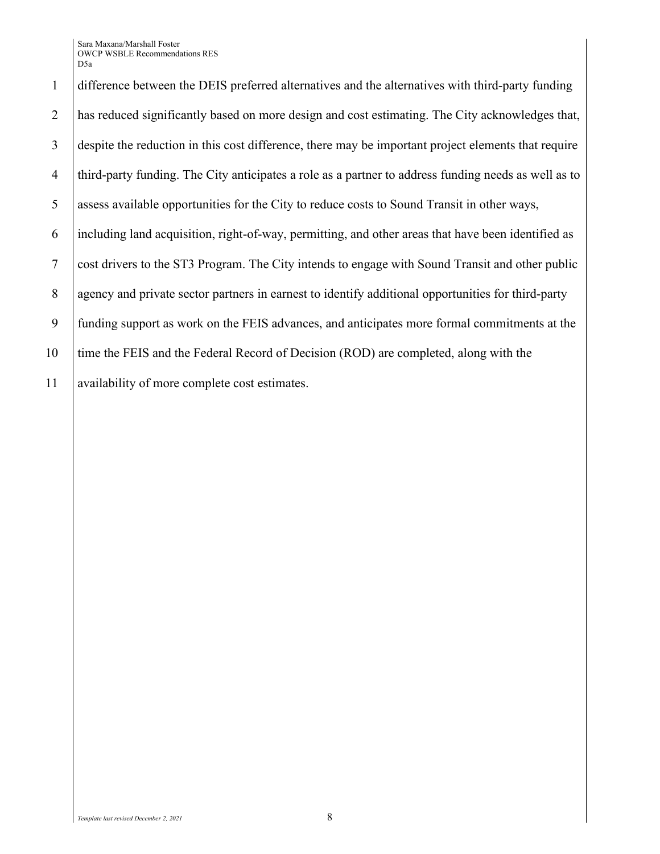difference between the DEIS preferred alternatives and the alternatives with third-party funding has reduced significantly based on more design and cost estimating. The City acknowledges that, despite the reduction in this cost difference, there may be important project elements that require third-party funding. The City anticipates a role as a partner to address funding needs as well as to assess available opportunities for the City to reduce costs to Sound Transit in other ways, including land acquisition, right-of-way, permitting, and other areas that have been identified as cost drivers to the ST3 Program. The City intends to engage with Sound Transit and other public agency and private sector partners in earnest to identify additional opportunities for third-party funding support as work on the FEIS advances, and anticipates more formal commitments at the 10 time the FEIS and the Federal Record of Decision (ROD) are completed, along with the 11 | availability of more complete cost estimates.